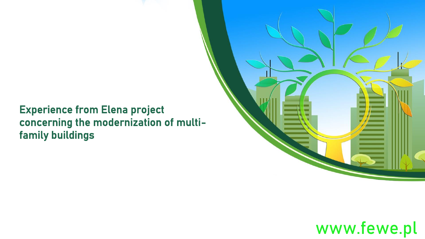#### Experience from Elena project concerning the modernization of multifamily buildings



## www.fewe.pl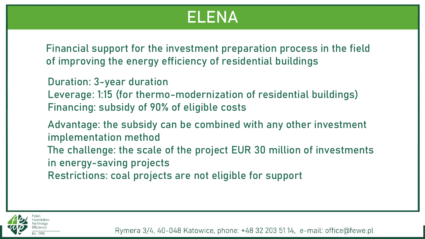## ELENA

of improving the energy efficiency of residential buildings Financial support for the investment preparation process in the field

Duration: 3-year duration Leverage: 1:15 (for thermo-modernization of residential buildings) Financing: subsidy of 90% of eligible costs

Advantage: the subsidy can be combined with any other investment implementation method The challenge: the scale of the project EUR 30 million of investments in energy-saving projects Restrictions: coal projects are not eligible for support

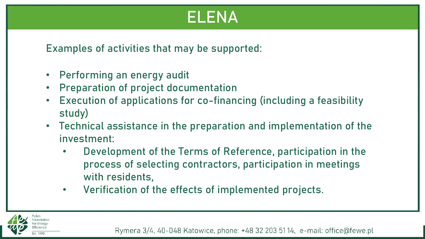## ELENA

Examples of activities that may be supported:

- Performing an energy audit
- Preparation of project documentation
- Execution of applications for co-financing (including a feasibility study)
- Technical assistance in the preparation and implementation of the investment:
	- Development of the Terms of Reference, participation in the process of selecting contractors, participation in meetings with residents,
	- Verification of the effects of implemented projects.

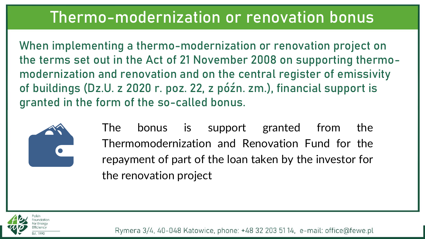## Thermo-modernization or renovation bonus

the terms set out in the Act of 21 November 2008 on supporting thermo-When implementing a thermo-modernization or renovation project on modernization and renovation and on the central register of emissivity of buildings (Dz.U. z 2020 r. poz. 22, z późn. zm.), financial support is granted in the form of the so-called bonus.



The bonus is support granted from the Thermomodernization and Renovation Fund for the repayment of part of the loan taken by the investor for the renovation project

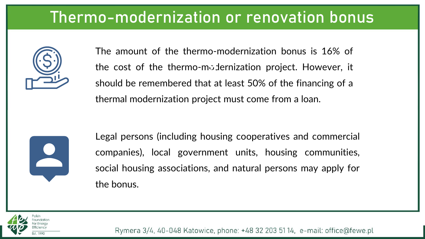## Thermo-modernization or renovation bonus



The amount of the thermo-modernization bonus is 16% of The amount of the thermo-modernization bonds is 10% of<br>the cost of the thermo-modernization project. However, it should be remembered that at least 50% of the financing of a thermal modernization project must come from a loan.



Legal persons (including housing cooperatives and commercial companies), local government units, housing communities, social housing associations, and natural persons may apply for the bonus.

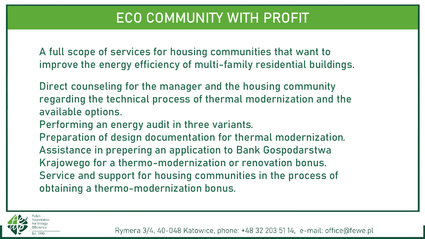#### ECO COMMUNITY WITH PROFIT

g A full scope of services for housing communities that want to improve the energy efficiency of multi-family residential buildings.

Direct counseling for the manager and the housing community regarding the technical process of thermal modernization and the available options.

Performing an energy audit in three variants.

Preparation of design documentation for thermal modernization. Assistance in prepering an application to Bank Gospodarstwa Krajowego for a thermo-modernization or renovation bonus. Service and support for housing communities in the process of obtaining a thermo-modernization bonus.

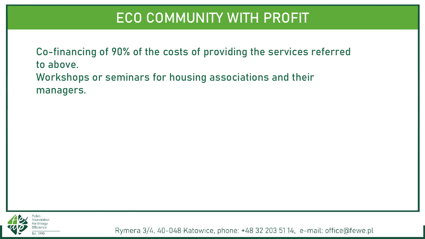#### ECO COMMUNITY WITH PROFIT

Co-financing of 90% of the costs of providing the services referred to above. Workshops or seminars for housing associations and their managers. g

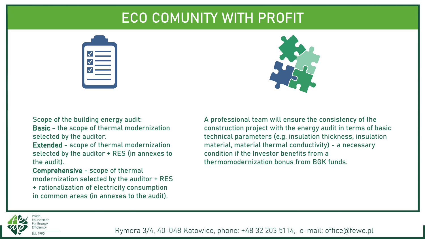#### ECO COMUNITY WITH PROFIT

g





Scope of the building energy audit: Basic - the scope of thermal modernization selected by the auditor.

Extended - scope of thermal modernization selected by the auditor + RES (in annexes to the audit).

Comprehensive - scope of thermal modernization selected by the auditor + RES + rationalization of electricity consumption in common areas (in annexes to the audit).

A professional team will ensure the consistency of the construction project with the energy audit in terms of basic technical parameters (e.g. insulation thickness, insulation material, material thermal conductivity) - a necessary condition if the Investor benefits from a thermomodernization bonus from BGK funds.

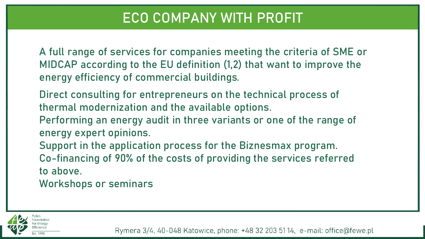#### ECO COMPANY WITH PROFIT

g A full range of services for companies meeting the criteria of SME or MIDCAP according to the EU definition (1,2) that want to improve the energy efficiency of commercial buildings.

Direct consulting for entrepreneurs on the technical process of thermal modernization and the available options.

Performing an energy audit in three variants or one of the range of energy expert opinions.

Support in the application process for the Biznesmax program. Co-financing of 90% of the costs of providing the services referred to above.

Workshops or seminars

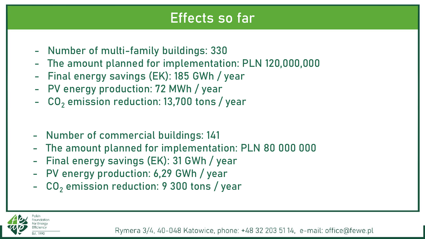#### Effects so far

- g - Number of multi-family buildings: 330
- The amount planned for implementation: PLN 120,000,000
- Final energy savings (EK): 185 GWh / year
- PV energy production: 72 MWh / year
- $CO<sub>2</sub>$  emission reduction: 13,700 tons / year
- Number of commercial buildings: 141
- The amount planned for implementation: PLN 80 000 000
- Final energy savings (EK): 31 GWh / year
- PV energy production: 6,29 GWh / year
- $CO<sub>2</sub>$  emission reduction: 9 300 tons / year

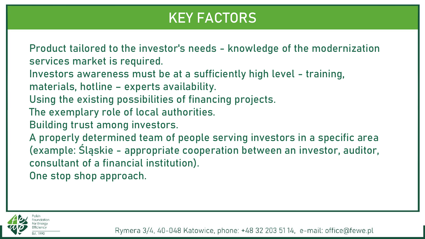### KEY FACTORS

Product tailored to the investor's needs - knowledge of the modernization services market is required.

Investors awareness must be at a sufficiently high level - training, materials, hotline – experts availability.

Using the existing possibilities of financing projects.

The exemplary role of local authorities.

Building trust among investors.

A properly determined team of people serving investors in a specific area (example: Śląskie - appropriate cooperation between an investor, auditor, consultant of a financial institution).

One stop shop approach.